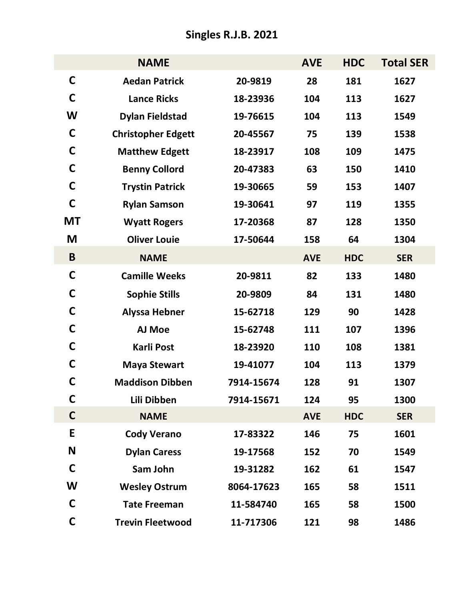## **Singles R.J.B. 2021**

|              | <b>NAME</b>               |            | <b>AVE</b> | <b>HDC</b> | <b>Total SER</b> |
|--------------|---------------------------|------------|------------|------------|------------------|
| $\mathsf{C}$ | <b>Aedan Patrick</b>      | 20-9819    | 28         | 181        | 1627             |
| C            | <b>Lance Ricks</b>        | 18-23936   | 104        | 113        | 1627             |
| W            | <b>Dylan Fieldstad</b>    | 19-76615   | 104        | 113        | 1549             |
| C            | <b>Christopher Edgett</b> | 20-45567   | 75         | 139        | 1538             |
| C            | <b>Matthew Edgett</b>     | 18-23917   | 108        | 109        | 1475             |
| C            | <b>Benny Collord</b>      | 20-47383   | 63         | 150        | 1410             |
| C            | <b>Trystin Patrick</b>    | 19-30665   | 59         | 153        | 1407             |
| C            | <b>Rylan Samson</b>       | 19-30641   | 97         | 119        | 1355             |
| <b>MT</b>    | <b>Wyatt Rogers</b>       | 17-20368   | 87         | 128        | 1350             |
| M            | <b>Oliver Louie</b>       | 17-50644   | 158        | 64         | 1304             |
| B            | <b>NAME</b>               |            | <b>AVE</b> | <b>HDC</b> | <b>SER</b>       |
| C            | <b>Camille Weeks</b>      | 20-9811    | 82         | 133        | 1480             |
| C            | <b>Sophie Stills</b>      | 20-9809    | 84         | 131        | 1480             |
| C            | <b>Alyssa Hebner</b>      | 15-62718   | 129        | 90         | 1428             |
| С            | AJ Moe                    | 15-62748   | 111        | 107        | 1396             |
| С            | Karli Post                | 18-23920   | 110        | 108        | 1381             |
| С            | <b>Maya Stewart</b>       | 19-41077   | 104        | 113        | 1379             |
| С            | <b>Maddison Dibben</b>    | 7914-15674 | 128        | 91         | 1307             |
| C            | Lili Dibben               | 7914-15671 | 124        | 95         | 1300             |
| $\mathsf{C}$ | <b>NAME</b>               |            | <b>AVE</b> | <b>HDC</b> | <b>SER</b>       |
| E            | <b>Cody Verano</b>        | 17-83322   | 146        | 75         | 1601             |
| N            | <b>Dylan Caress</b>       | 19-17568   | 152        | 70         | 1549             |
| C            | Sam John                  | 19-31282   | 162        | 61         | 1547             |
| W            | <b>Wesley Ostrum</b>      | 8064-17623 | 165        | 58         | 1511             |
| C            | <b>Tate Freeman</b>       | 11-584740  | 165        | 58         | 1500             |
| C            | <b>Trevin Fleetwood</b>   | 11-717306  | 121        | 98         | 1486             |